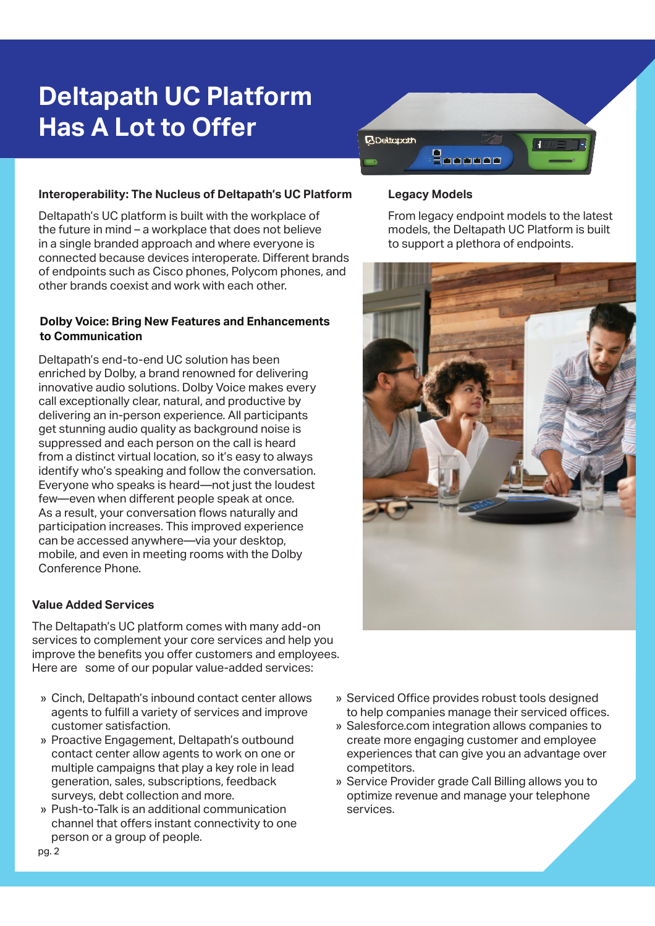# **Deltapath UC Platform Has A Lot to Offer**



#### **Interoperability: The Nucleus of Deltapath's UC Platform**

Deltapath's UC platform is built with the workplace of the future in mind – a workplace that does not believe in a single branded approach and where everyone is connected because devices interoperate. Diferent brands of endpoints such as Cisco phones, Polycom phones, and other brands coexist and work with each other.

### **Dolby Voice: Bring New Features and Enhancements to Communication**

Deltapath's end-to-end UC solution has been enriched by Dolby, a brand renowned for delivering innovative audio solutions. Dolby Voice makes every call exceptionally clear, natural, and productive by delivering an in-person experience. All participants get stunning audio quality as background noise is suppressed and each person on the call is heard from a distinct virtual location, so it's easy to always identify who's speaking and follow the conversation. Everyone who speaks is heard—not just the loudest few—even when diferent people speak at once. As a result, your conversation flows naturally and participation increases. This improved experience can be accessed anywhere—via your desktop, mobile, and even in meeting rooms with the Dolby Conference Phone.

#### **Value Added Services**

The Deltapath's UC platform comes with many add-on services to complement your core services and help you improve the benefits you offer customers and employees. Here are some of our popular value-added services:

- » Cinch, Deltapath's inbound contact center allows agents to fulfill a variety of services and improve customer satisfaction.
- » Proactive Engagement, Deltapath's outbound contact center allow agents to work on one or multiple campaigns that play a key role in lead generation, sales, subscriptions, feedback surveys, debt collection and more.
- » Push-to-Talk is an additional communication channel that offers instant connectivity to one person or a group of people.

#### **Legacy Models**

From legacy endpoint models to the latest models, the Deltapath UC Platform is built to support a plethora of endpoints.



- » Serviced Office provides robust tools designed to help companies manage their serviced offices.
- » Salesforce.com integration allows companies to create more engaging customer and employee experiences that can give you an advantage over competitors.
- » Service Provider grade Call Billing allows you to optimize revenue and manage your telephone services.

www.deltapath.com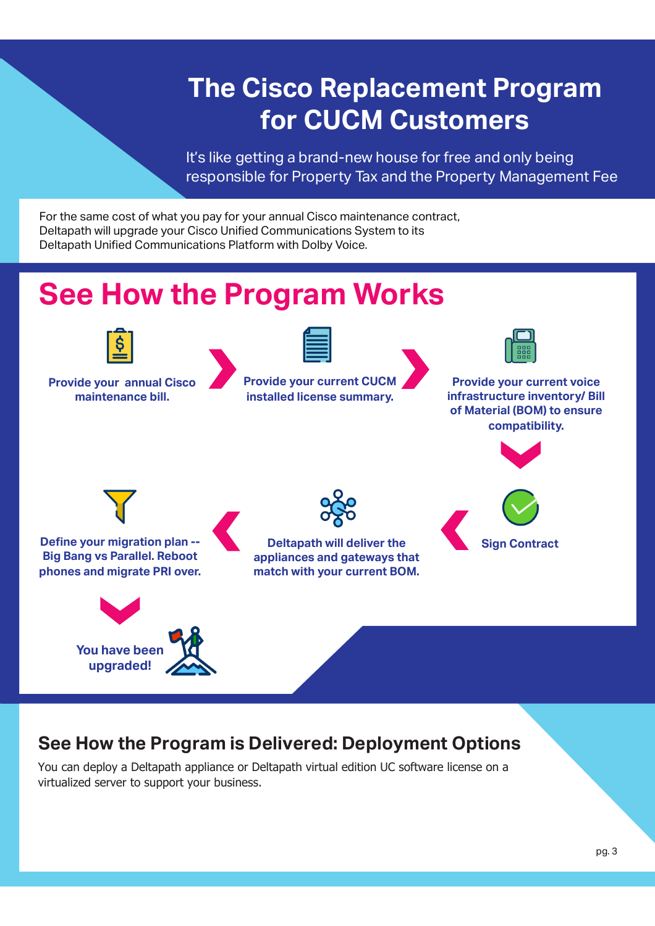# **The Cisco Replacement Program for CUCM Customers**

It's like getting a brand-new house for free and only being responsible for Property Tax and the Property Management Fee

For the same cost of what you pay for your annual Cisco maintenance contract, Deltapath will upgrade your Cisco Unifed Communications System to its Deltapath Unifed Communications Platform with Dolby Voice.

# **See How the Program Works**



**Provide your annual Cisco maintenance bill.**



**Provide your current CUCM installed license summary.**



**Provide your current voice infrastructure inventory/ Bill of Material (BOM) to ensure compatibility.**







**Define your migration plan --Big Bang vs Parallel. Reboot phones and migrate PRI over.**



## **See How the Program is Delivered: Deployment Options**

You can deploy a Deltapath appliance or Deltapath virtual edition UC software license on a virtualized server to support your business.